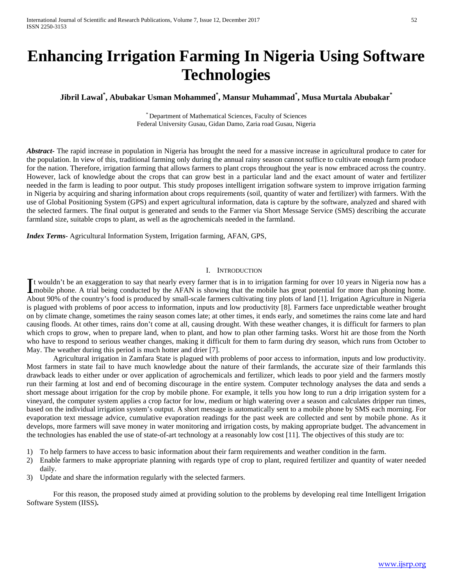# **Enhancing Irrigation Farming In Nigeria Using Software Technologies**

## **Jibril Lawal\* , Abubakar Usman Mohammed\* , Mansur Muhammad\* , Musa Murtala Abubakar\***

\* Department of Mathematical Sciences, Faculty of Sciences Federal University Gusau, Gidan Damo, Zaria road Gusau, Nigeria

*Abstract* The rapid increase in population in Nigeria has brought the need for a massive increase in agricultural produce to cater for the population. In view of this, traditional farming only during the annual rainy season cannot suffice to cultivate enough farm produce for the nation. Therefore, irrigation farming that allows farmers to plant crops throughout the year is now embraced across the country. However, lack of knowledge about the crops that can grow best in a particular land and the exact amount of water and fertilizer needed in the farm is leading to poor output. This study proposes intelligent irrigation software system to improve irrigation farming in Nigeria by acquiring and sharing information about crops requirements (soil, quantity of water and fertilizer) with farmers. With the use of Global Positioning System (GPS) and expert agricultural information, data is capture by the software, analyzed and shared with the selected farmers. The final output is generated and sends to the Farmer via Short Message Service (SMS) describing the accurate farmland size, suitable crops to plant, as well as the agrochemicals needed in the farmland.

*Index Terms*- Agricultural Information System, Irrigation farming, AFAN, GPS,

## I. INTRODUCTION

t wouldn't be an exaggeration to say that nearly every farmer that is in to irrigation farming for over 10 years in Nigeria now has a It wouldn't be an exaggeration to say that nearly every farmer that is in to irrigation farming for over 10 years in Nigeria now has a mobile phone. A trial being conducted by the AFAN is showing that the mobile has great About 90% of the country's food is produced by small-scale farmers cultivating tiny plots of land [1]. Irrigation Agriculture in Nigeria is plagued with problems of poor access to information, inputs and low productivity [8]. Farmers face unpredictable weather brought on by climate change, sometimes the rainy season comes late; at other times, it ends early, and sometimes the rains come late and hard causing floods. At other times, rains don't come at all, causing drought. With these weather changes, it is difficult for farmers to plan which crops to grow, when to prepare land, when to plant, and how to plan other farming tasks. Worst hit are those from the North who have to respond to serious weather changes, making it difficult for them to farm during dry season, which runs from October to May. The weather during this period is much hotter and drier [7].

Agricultural irrigation in Zamfara State is plagued with problems of poor access to information, inputs and low productivity. Most farmers in state fail to have much knowledge about the nature of their farmlands, the accurate size of their farmlands this drawback leads to either under or over application of agrochemicals and fertilizer, which leads to poor yield and the farmers mostly run their farming at lost and end of becoming discourage in the entire system. Computer technology analyses the data and sends a short message about irrigation for the crop by mobile phone. For example, it tells you how long to run a drip irrigation system for a vineyard, the computer system applies a crop factor for low, medium or high watering over a season and calculates dripper run times, based on the individual irrigation system's output. A short message is automatically sent to a mobile phone by SMS each morning. For evaporation text message advice, cumulative evaporation readings for the past week are collected and sent by mobile phone. As it develops, more farmers will save money in water monitoring and irrigation costs, by making appropriate budget. The advancement in the technologies has enabled the use of state-of-art technology at a reasonably low cost [11]. The objectives of this study are to:

- 1) To help farmers to have access to basic information about their farm requirements and weather condition in the farm.
- 2) Enable farmers to make appropriate planning with regards type of crop to plant, required fertilizer and quantity of water needed daily.
- 3) Update and share the information regularly with the selected farmers.

For this reason, the proposed study aimed at providing solution to the problems by developing real time Intelligent Irrigation Software System (IISS)**.**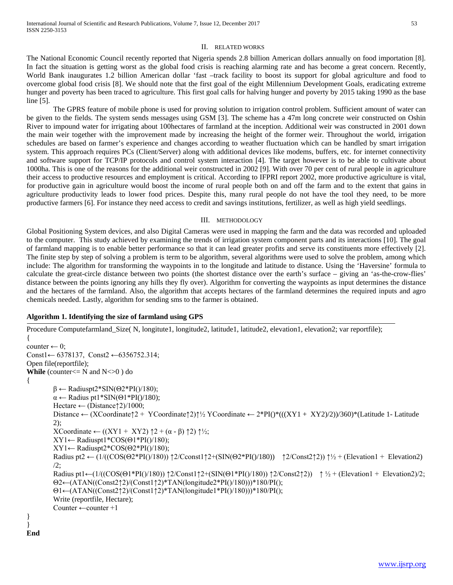## II. RELATED WORKS

The National Economic Council recently reported that Nigeria spends 2.8 billion American dollars annually on food importation [8]. In fact the situation is getting worst as the global food crisis is reaching alarming rate and has become a great concern. Recently, World Bank inaugurates 1.2 billion American dollar 'fast –track facility to boost its support for global agriculture and food to overcome global food crisis [8]. We should note that the first goal of the eight Millennium Development Goals, eradicating extreme hunger and poverty has been traced to agriculture. This first goal calls for halving hunger and poverty by 2015 taking 1990 as the base line [5].

The GPRS feature of mobile phone is used for proving solution to irrigation control problem. Sufficient amount of water can be given to the fields. The system sends messages using GSM [3]. The scheme has a 47m long concrete weir constructed on Oshin River to impound water for irrigating about 100hectares of farmland at the inception. Additional weir was constructed in 2001 down the main weir together with the improvement made by increasing the height of the former weir. Throughout the world, irrigation schedules are based on farmer's experience and changes according to weather fluctuation which can be handled by smart irrigation system. This approach requires PCs (Client/Server) along with additional devices like modems, buffers, etc. for internet connectivity and software support for TCP/IP protocols and control system interaction [4]. The target however is to be able to cultivate about 1000ha. This is one of the reasons for the additional weir constructed in 2002 [9]. With over 70 per cent of rural people in agriculture their access to productive resources and employment is critical. According to IFPRI report 2002, more productive agriculture is vital, for productive gain in agriculture would boost the income of rural people both on and off the farm and to the extent that gains in agriculture productivity leads to lower food prices. Despite this, many rural people do not have the tool they need, to be more productive farmers [6]. For instance they need access to credit and savings institutions, fertilizer, as well as high yield seedlings.

### III. METHODOLOGY

Global Positioning System devices, and also Digital Cameras were used in mapping the farm and the data was recorded and uploaded to the computer. This study achieved by examining the trends of irrigation system component parts and its interactions [10]. The goal of farmland mapping is to enable better performance so that it can lead greater profits and serve its constituents more effectively [2]. The finite step by step of solving a problem is term to be algorithm, several algorithms were used to solve the problem, among which include: The algorithm for transforming the waypoints in to the longitude and latitude to distance. Using the 'Haversine' formula to calculate the great-circle distance between two points (the shortest distance over the earth's surface – giving an 'as-the-crow-flies' distance between the points ignoring any hills they fly over). Algorithm for converting the waypoints as input determines the distance and the hectares of the farmland. Also, the algorithm that accepts hectares of the farmland determines the required inputs and agro chemicals needed. Lastly, algorithm for sending sms to the farmer is obtained.

## **Algorithm 1. Identifying the size of farmland using GPS**

```
Procedure Computefarmland_Size( N, longitute1, longitude2, latitude1, latitude2, elevation1, elevation2; var reportfile);
{
counter \leftarrow 0;
Const1← 6378137, Const2 ←6356752.314;
Open file(reportfile);
While (counter\leq N and N \leq 0) do
{
          \beta \leftarrow \text{Radiuspt2*SIN}(\Theta 2*PI() / 180);\alpha \leftarrow Radius pt1*SIN(\Theta1*PI()/180);
          Hectare \leftarrow (Distance\uparrow2)/1000;
          Distance ← (XCoordinate↑2 + YCoordinate↑2)↑½ YCoordinate ← 2*PI()*(((XY1 + XY2)/2))/360)*(Latitude 1- Latitude 
          2);
          XCoordinate ← ((XY1 + XYZ) \uparrow 2 + (\alpha - \beta) \uparrow 2) \uparrow ½;
          XY1 \leftarrow \text{Radiuspt1*COS}(01*PI() / 180);XY1 \leftarrow \text{Radiuspt2*COS}(\Theta2*PI() / 180);Radius pt2 ← (1/((COS(\Theta2*PI()/180)) \uparrow2/Cconst1\uparrow2+(SIN(\Theta2*PI()/180)) \uparrow2/Const2\uparrow2))\uparrow<sup>1</sup>/<sub>2</sub> + (Elevation1 + Elevation2)
          /2;
          Radius pt1←(1/((\text{COS}(\Theta1^*P\text{I}(\gamma180)) \uparrow 2/\text{Const1} \uparrow 4/\text{SIN}(\Theta1^*P\text{I}(\gamma180)) \uparrow 2/\text{Const2} \uparrow 2)) \uparrow \frac{1}{2} + (Elevation1 + Elevation2)/2;
          Θ2←(ATAN((Const2↑2)/(Const1↑2)*TAN(longitude2*PI()/180)))*180/PI();
          Θ1←(ATAN((Const2↑2)/(Const1↑2)*TAN(longitude1*PI()/180)))*180/PI();
          Write (reportfile, Hectare);
          Counter ←counter +1
}
}
End
```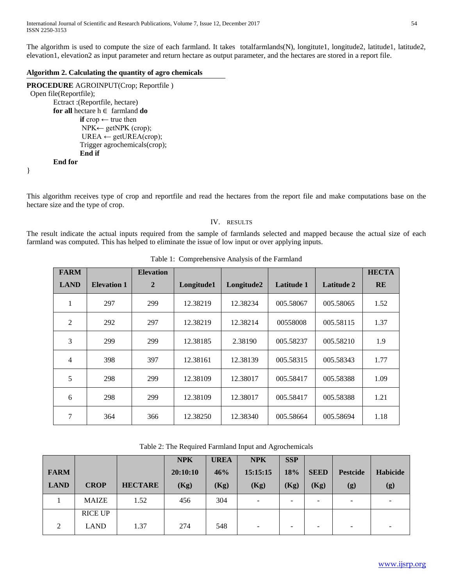The algorithm is used to compute the size of each farmland. It takes totalfarmlands(N), longitute1, longitude2, latitude1, latitude2, elevation1, elevation2 as input parameter and return hectare as output parameter, and the hectares are stored in a report file.

## **Algorithm 2. Calculating the quantity of agro chemicals**

```
PROCEDURE AGROINPUT(Crop; Reportfile )
  Open file(Reportfile);
        Ectract :(Reportfile, hectare)
        for all hectare h ∈ farmland do
                 if crop ← true then
                 NPK← getNPK (crop);
                 UREA \leftarrow getUREA(crop);Trigger agrochemicals(crop);
                 End if
        End for
}
```
This algorithm receives type of crop and reportfile and read the hectares from the report file and make computations base on the hectare size and the type of crop.

## IV. RESULTS

The result indicate the actual inputs required from the sample of farmlands selected and mapped because the actual size of each farmland was computed. This has helped to eliminate the issue of low input or over applying inputs.

| <b>FARM</b>    |                    | <b>Elevation</b> |            |            |            |                   | <b>HECTA</b> |
|----------------|--------------------|------------------|------------|------------|------------|-------------------|--------------|
| <b>LAND</b>    | <b>Elevation 1</b> | $\overline{2}$   | Longitude1 | Longitude2 | Latitude 1 | <b>Latitude 2</b> | <b>RE</b>    |
| 1              | 297                | 299              | 12.38219   | 12.38234   | 005.58067  | 005.58065         | 1.52         |
| $\overline{2}$ | 292                | 297              | 12.38219   | 12.38214   | 00558008   | 005.58115         | 1.37         |
| 3              | 299                | 299              | 12.38185   | 2.38190    | 005.58237  | 005.58210         | 1.9          |
| 4              | 398                | 397              | 12.38161   | 12.38139   | 005.58315  | 005.58343         | 1.77         |
| 5              | 298                | 299              | 12.38109   | 12.38017   | 005.58417  | 005.58388         | 1.09         |
| 6              | 298                | 299              | 12.38109   | 12.38017   | 005.58417  | 005.58388         | 1.21         |
| 7              | 364                | 366              | 12.38250   | 12.38340   | 005.58664  | 005.58694         | 1.18         |

Table 1: Comprehensive Analysis of the Farmland

|             |                |                | <b>NPK</b> | <b>UREA</b> | <b>NPK</b> | <b>SSP</b> |             |                 |          |
|-------------|----------------|----------------|------------|-------------|------------|------------|-------------|-----------------|----------|
| <b>FARM</b> |                |                | 20:10:10   | 46%         | 15:15:15   | <b>18%</b> | <b>SEED</b> | <b>Pestcide</b> | Habicide |
| <b>LAND</b> | <b>CROP</b>    | <b>HECTARE</b> | (Kg)       | (Kg)        | (Kg)       | (Kg)       | (Kg)        | (g)             | (g)      |
|             | <b>MAIZE</b>   | 1.52           | 456        | 304         |            | -          |             | -               |          |
|             | <b>RICE UP</b> |                |            |             |            |            |             |                 |          |
| ↑           | LAND           | 1.37           | 274        | 548         |            | -          |             | -               |          |